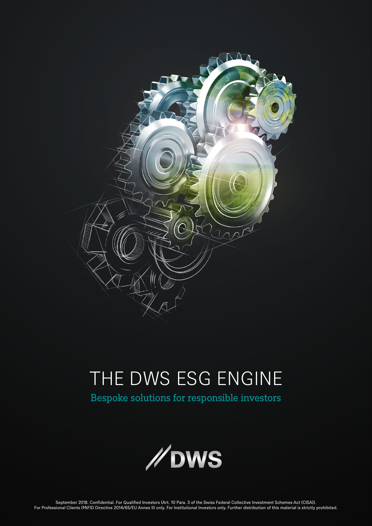

# THE DWS ESG ENGINE

Bespoke solutions for responsible investors

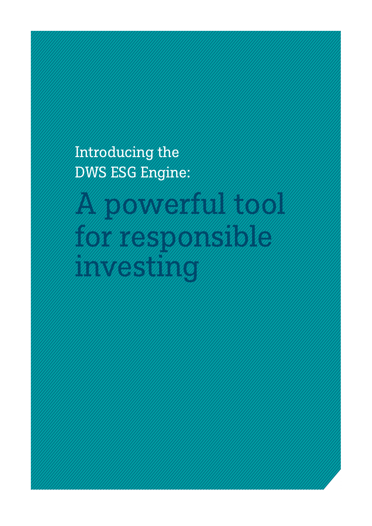Introducing the DWS ESG Engine:

A POWERFELD TO A PROTECTIVE for a final straight and the construction of the construction of the construction of the construction of the c<br>In the construction of the construction of the construction of the construction of the construction of the con investing the community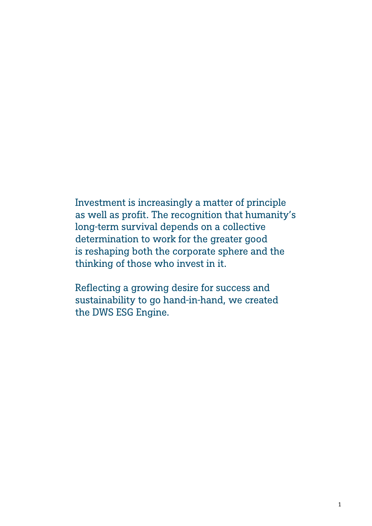Investment is increasingly a matter of principle as well as profit. The recognition that humanity's long-term survival depends on a collective determination to work for the greater good is reshaping both the corporate sphere and the thinking of those who invest in it.

Reflecting a growing desire for success and sustainability to go hand-in-hand, we created the DWS ESG Engine.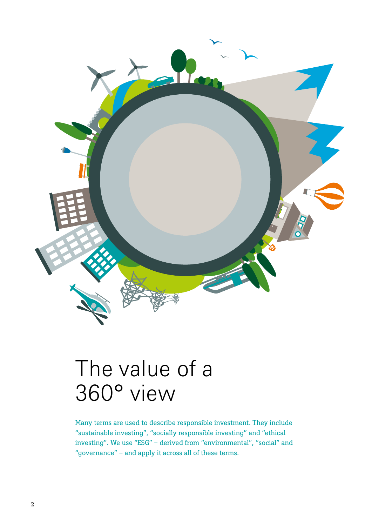

## The value of a 360° view

Many terms are used to describe responsible investment. They include "sustainable investing", "socially responsible investing" and "ethical investing". We use "ESG" – derived from "environmental", "social" and "governance" – and apply it across all of these terms.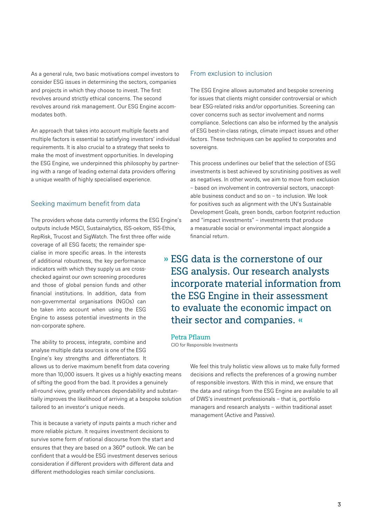As a general rule, two basic motivations compel investors to consider ESG issues in determining the sectors, companies and projects in which they choose to invest. The first revolves around strictly ethical concerns. The second revolves around risk management. Our ESG Engine accommodates both.

An approach that takes into account multiple facets and multiple factors is essential to satisfying investors' individual requirements. It is also crucial to a strategy that seeks to make the most of investment opportunities. In developing the ESG Engine, we underpinned this philosophy by partnering with a range of leading external data providers offering a unique wealth of highly specialised experience.

## Seeking maximum benefit from data

The providers whose data currently informs the ESG Engine's outputs include MSCI, Sustainalytics, ISS-oekom, ISS-Ethix, RepRisk, Trucost and SigWatch. The first three offer wide coverage of all ESG facets; the remainder specialise in more specific areas. In the interests of additional robustness, the key performance indicators with which they supply us are crosschecked against our own screening procedures and those of global pension funds and other financial institutions. In addition, data from non-governmental organisations (NGOs) can be taken into account when using the ESG Engine to assess potential investments in the non-corporate sphere.

The ability to process, integrate, combine and analyse multiple data sources is one of the ESG Engine's key strengths and differentiators. It allows us to derive maximum benefit from data covering more than 10,000 issuers. It gives us a highly exacting means of sifting the good from the bad. It provides a genuinely all-round view, greatly enhances dependability and substantially improves the likelihood of arriving at a bespoke solution tailored to an investor's unique needs.

This is because a variety of inputs paints a much richer and more reliable picture. It requires investment decisions to survive some form of rational discourse from the start and ensures that they are based on a 360° outlook. We can be confident that a would-be ESG investment deserves serious consideration if different providers with different data and different methodologies reach similar conclusions.

## From exclusion to inclusion

The ESG Engine allows automated and bespoke screening for issues that clients might consider controversial or which bear ESG-related risks and/or opportunities. Screening can cover concerns such as sector involvement and norms compliance. Selections can also be informed by the analysis of ESG best-in-class ratings, climate impact issues and other factors. These techniques can be applied to corporates and sovereigns.

This process underlines our belief that the selection of ESG investments is best achieved by scrutinising positives as well as negatives. In other words, we aim to move from exclusion – based on involvement in controversial sectors, unacceptable business conduct and so on – to inclusion. We look for positives such as alignment with the UN's Sustainable Development Goals, green bonds, carbon footprint reduction and "impact investments" – investments that produce a measurable social or environmental impact alongside a financial return.

» ESG data is the cornerstone of our ESG analysis. Our research analysts incorporate material information from the ESG Engine in their assessment to evaluate the economic impact on their sector and companies. «

## Petra Pflaum

CIO for Responsible Investments

We feel this truly holistic view allows us to make fully formed decisions and reflects the preferences of a growing number of responsible investors. With this in mind, we ensure that the data and ratings from the ESG Engine are available to all of DWS's investment professionals – that is, portfolio managers and research analysts – within traditional asset management (Active and Passive).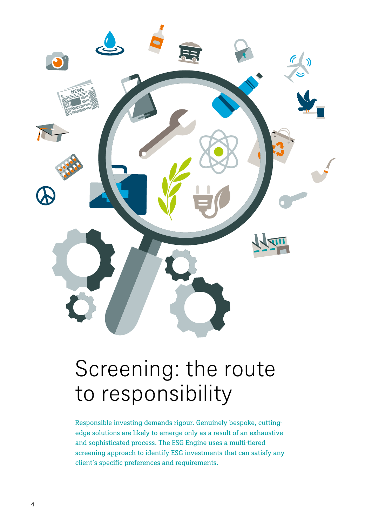

# Screening: the route to responsibility

Responsible investing demands rigour. Genuinely bespoke, cuttingedge solutions are likely to emerge only as a result of an exhaustive and sophisticated process. The ESG Engine uses a multi-tiered screening approach to identify ESG investments that can satisfy any client's specific preferences and requirements.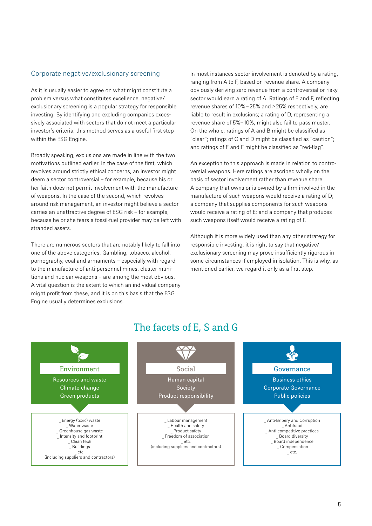## Corporate negative/exclusionary screening

As it is usually easier to agree on what might constitute a problem versus what constitutes excellence, negative/ exclusionary screening is a popular strategy for responsible investing. By identifying and excluding companies excessively associated with sectors that do not meet a particular investor's criteria, this method serves as a useful first step within the ESG Engine.

Broadly speaking, exclusions are made in line with the two motivations outlined earlier. In the case of the first, which revolves around strictly ethical concerns, an investor might deem a sector controversial – for example, because his or her faith does not permit involvement with the manufacture of weapons. In the case of the second, which revolves around risk management, an investor might believe a sector carries an unattractive degree of ESG risk – for example, because he or she fears a fossil-fuel provider may be left with stranded assets.

There are numerous sectors that are notably likely to fall into one of the above categories. Gambling, tobacco, alcohol, pornography, coal and armaments – especially with regard to the manufacture of anti-personnel mines, cluster munitions and nuclear weapons – are among the most obvious. A vital question is the extent to which an individual company might profit from these, and it is on this basis that the ESG Engine usually determines exclusions.

In most instances sector involvement is denoted by a rating, ranging from A to F, based on revenue share. A company obviously deriving zero revenue from a controversial or risky sector would earn a rating of A. Ratings of E and F, reflecting revenue shares of 10% – 25% and > 25% respectively, are liable to result in exclusions; a rating of D, representing a revenue share of 5%– 10%, might also fail to pass muster. On the whole, ratings of A and B might be classified as "clear"; ratings of C and D might be classified as "caution"; and ratings of E and F might be classified as "red-flag".

An exception to this approach is made in relation to controversial weapons. Here ratings are ascribed wholly on the basis of sector involvement rather than revenue share. A company that owns or is owned by a firm involved in the manufacture of such weapons would receive a rating of D; a company that supplies components for such weapons would receive a rating of E; and a company that produces such weapons itself would receive a rating of F.

Although it is more widely used than any other strategy for responsible investing, it is right to say that negative/ exclusionary screening may prove insufficiently rigorous in some circumstances if employed in isolation. This is why, as mentioned earlier, we regard it only as a first step.



## The facets of E, S and G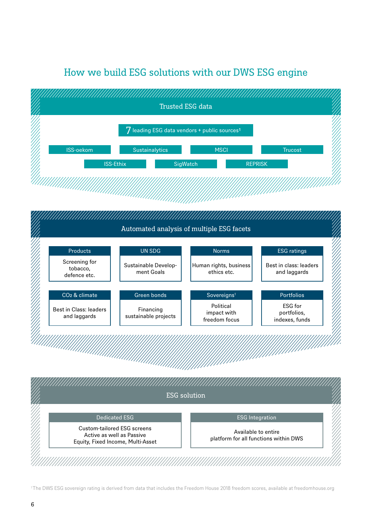## How we build ESG solutions with our DWS ESG engine



<sup>&</sup>lt;sup>1</sup>The DWS ESG sovereign rating is derived from data that includes the Freedom House 2018 freedom scores, available at freedomhouse.org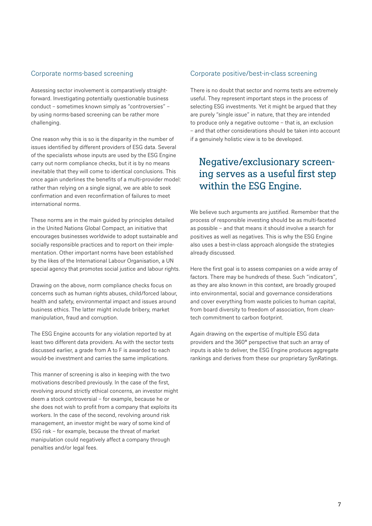## Corporate norms-based screening

Assessing sector involvement is comparatively straightforward. Investigating potentially questionable business conduct – sometimes known simply as "controversies" – by using norms-based screening can be rather more challenging.

One reason why this is so is the disparity in the number of issues identified by different providers of ESG data. Several of the specialists whose inputs are used by the ESG Engine carry out norm compliance checks, but it is by no means inevitable that they will come to identical conclusions. This once again underlines the benefits of a multi-provider model: rather than relying on a single signal, we are able to seek confirmation and even reconfirmation of failures to meet international norms.

These norms are in the main guided by principles detailed in the United Nations Global Compact, an initiative that encourages businesses worldwide to adopt sustainable and socially responsible practices and to report on their implementation. Other important norms have been established by the likes of the International Labour Organisation, a UN special agency that promotes social justice and labour rights.

Drawing on the above, norm compliance checks focus on concerns such as human rights abuses, child/forced labour, health and safety, environmental impact and issues around business ethics. The latter might include bribery, market manipulation, fraud and corruption.

The ESG Engine accounts for any violation reported by at least two different data providers. As with the sector tests discussed earlier, a grade from A to F is awarded to each would-be investment and carries the same implications.

This manner of screening is also in keeping with the two motivations described previously. In the case of the first, revolving around strictly ethical concerns, an investor might deem a stock controversial – for example, because he or she does not wish to profit from a company that exploits its workers. In the case of the second, revolving around risk management, an investor might be wary of some kind of ESG risk – for example, because the threat of market manipulation could negatively affect a company through penalties and/or legal fees.

## Corporate positive/best-in-class screening

There is no doubt that sector and norms tests are extremely useful. They represent important steps in the process of selecting ESG investments. Yet it might be argued that they are purely "single issue" in nature, that they are intended to produce only a negative outcome – that is, an exclusion – and that other considerations should be taken into account if a genuinely holistic view is to be developed.

## Negative/exclusionary screening serves as a useful first step within the ESG Engine.

We believe such arguments are justified. Remember that the process of responsible investing should be as multi-faceted as possible – and that means it should involve a search for positives as well as negatives. This is why the ESG Engine also uses a best-in-class approach alongside the strategies already discussed.

Here the first goal is to assess companies on a wide array of factors. There may be hundreds of these. Such "indicators", as they are also known in this context, are broadly grouped into environmental, social and governance considerations and cover everything from waste policies to human capital, from board diversity to freedom of association, from cleantech commitment to carbon footprint.

Again drawing on the expertise of multiple ESG data providers and the 360° perspective that such an array of inputs is able to deliver, the ESG Engine produces aggregate rankings and derives from these our proprietary SynRatings.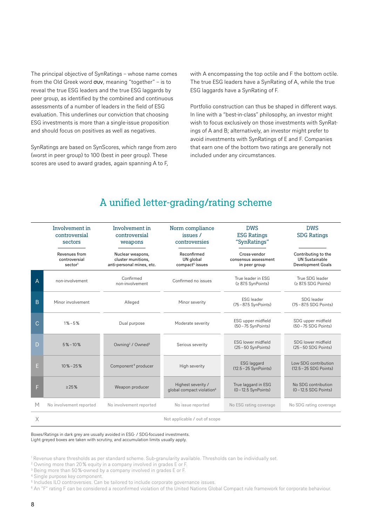The principal objective of SynRatings – whose name comes from the Old Greek word  $\sigma$ uv, meaning "together" – is to reveal the true ESG leaders and the true ESG laggards by peer group, as identified by the combined and continuous assessments of a number of leaders in the field of ESG evaluation. This underlines our conviction that choosing ESG investments is more than a single-issue proposition and should focus on positives as well as negatives.

SynRatings are based on SynScores, which range from zero (worst in peer group) to 100 (best in peer group). These scores are used to award grades, again spanning A to F,

with A encompassing the top octile and F the bottom octile. The true ESG leaders have a SynRating of A, while the true ESG laggards have a SynRating of F.

Portfolio construction can thus be shaped in different ways. In line with a "best-in-class" philosophy, an investor might wish to focus exclusively on those investments with SynRatings of A and B; alternatively, an investor might prefer to avoid investments with SynRatings of E and F. Companies that earn one of the bottom two ratings are generally not included under any circumstances.

|   | Involvement in<br>controversial<br>sectors            | Involvement in<br>controversial<br>weapons                          | Norm compliance<br>issues /<br>controversies                | <b>DWS</b><br><b>ESG Ratings</b><br>"SynRatings"      | <b>DWS</b><br><b>SDG Ratings</b>                                         |
|---|-------------------------------------------------------|---------------------------------------------------------------------|-------------------------------------------------------------|-------------------------------------------------------|--------------------------------------------------------------------------|
|   | Revenues from<br>controversial<br>sector <sup>1</sup> | Nuclear weapons,<br>cluster munitions,<br>anti-personal mines, etc. | Reconfirmed<br>UN global<br>compact <sup>5</sup> issues     | Cross-vendor<br>consensus assessment<br>in peer group | Contributing to the<br><b>UN Sustainable</b><br><b>Development Goals</b> |
| Α | non-involvement                                       | Confirmed<br>non-involvement                                        | Confirmed no issues                                         | True leader in FSG<br>(≥ 87.5 SynPoints)              | True SDG leader<br>(2 87.5 SDG Points)                                   |
| B | Minor involvement                                     | Alleged                                                             | Minor severity                                              | <b>FSG</b> leader<br>(75-87.5 SynPoints)              | SDG leader<br>(75-87.5 SDG Points)                                       |
| С | $1\% - 5\%$                                           | Dual purpose                                                        | Moderate severity                                           | ESG upper midfield<br>(50-75 SynPoints)               | SDG upper midfield<br>(50-75 SDG Points)                                 |
| D | $5\% - 10\%$                                          | Owning <sup>2</sup> / Owned <sup>3</sup>                            | Serious severity                                            | <b>ESG lower midfield</b><br>(25-50 SynPoints)        | SDG lower midfield<br>$(25 - 50$ SDG Points)                             |
| E | $10\% - 25\%$                                         | Component <sup>4</sup> producer                                     | High severity                                               | <b>ESG</b> laggard<br>(12.5 - 25 SynPoints)           | Low SDG contribution<br>(12.5 - 25 SDG Points)                           |
| F | >25%                                                  | Weapon producer                                                     | Highest severity /<br>global compact violation <sup>6</sup> | True laggard in ESG<br>$(0 - 12.5$ SynPoints)         | No SDG contribution<br>$(0 - 12.5 SDG Points)$                           |
| M | No involvement reported                               | No involvement reported                                             | No issue reported                                           | No ESG rating coverage                                | No SDG rating coverage                                                   |
| X |                                                       |                                                                     | Not applicable / out of scope                               |                                                       |                                                                          |

## A unified letter-grading/rating scheme

Boxes/Ratings in dark grey are usually avoided in ESG- / SDG-focused investments. Light greyed boxes are taken with scrutiny, and accumulation limits usually apply.

<sup>1</sup> Revenue share thresholds as per standard scheme. Sub-granularity available. Thresholds can be individually set.

<sup>2</sup> Owning more than 20 % equity in a company involved in grades E or F.

<sup>&</sup>lt;sup>3</sup> Being more than 50%-owned by a company involved in grades E or F.

<sup>4</sup> Single purpose key component.

<sup>&</sup>lt;sup>5</sup> Includes ILO controversies. Can be tailored to include corporate governance issues.

<sup>6</sup> An "F" rating F can be considered a reconfirmed violation of the United Nations Global Compact rule framework for corporate behaviour.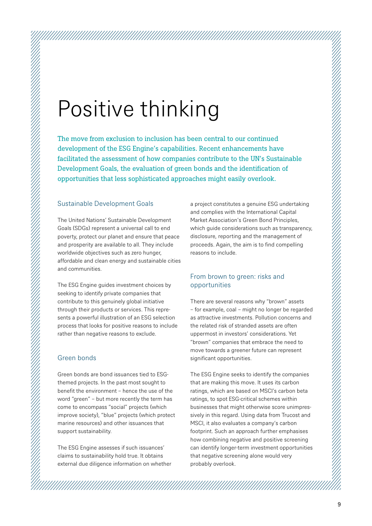# Positive thinking

The move from exclusion to inclusion has been central to our continued development of the ESG Engine's capabilities. Recent enhancements have facilitated the assessment of how companies contribute to the UN's Sustainable Development Goals, the evaluation of green bonds and the identification of opportunities that less sophisticated approaches might easily overlook.

## Sustainable Development Goals

The United Nations' Sustainable Development Goals (SDGs) represent a universal call to end poverty, protect our planet and ensure that peace and prosperity are available to all. They include worldwide objectives such as zero hunger, affordable and clean energy and sustainable cities and communities.

The ESG Engine guides investment choices by seeking to identify private companies that contribute to this genuinely global initiative through their products or services. This represents a powerful illustration of an ESG selection process that looks for positive reasons to include rather than negative reasons to exclude.

## Green bonds

Green bonds are bond issuances tied to ESGthemed projects. In the past most sought to benefit the environment – hence the use of the word "green" – but more recently the term has come to encompass "social" projects (which improve society), "blue" projects (which protect marine resources) and other issuances that support sustainability.

The ESG Engine assesses if such issuances' claims to sustainability hold true. It obtains external due diligence information on whether a project constitutes a genuine ESG undertaking and complies with the International Capital Market Association's Green Bond Principles, which guide considerations such as transparency, disclosure, reporting and the management of proceeds. Again, the aim is to find compelling reasons to include.

## From brown to green: risks and opportunities

There are several reasons why "brown" assets – for example, coal – might no longer be regarded as attractive investments. Pollution concerns and the related risk of stranded assets are often uppermost in investors' considerations. Yet "brown" companies that embrace the need to move towards a greener future can represent significant opportunities.

The ESG Engine seeks to identify the companies that are making this move. It uses its carbon ratings, which are based on MSCI's carbon beta ratings, to spot ESG-critical schemes within businesses that might otherwise score unimpressively in this regard. Using data from Trucost and MSCI, it also evaluates a company's carbon footprint. Such an approach further emphasises how combining negative and positive screening can identify longer-term investment opportunities that negative screening alone would very probably overlook.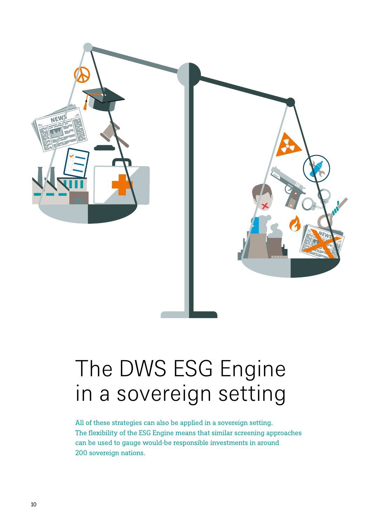

# The DWS ESG Engine in a sovereign setting

All of these strategies can also be applied in a sovereign setting. The flexibility of the ESG Engine means that similar screening approaches can be used to gauge would-be responsible investments in around 200 sovereign nations.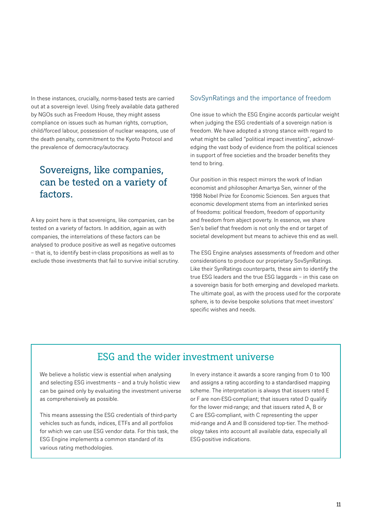In these instances, crucially, norms-based tests are carried out at a sovereign level. Using freely available data gathered by NGOs such as Freedom House, they might assess compliance on issues such as human rights, corruption, child/forced labour, possession of nuclear weapons, use of the death penalty, commitment to the Kyoto Protocol and the prevalence of democracy/autocracy.

## Sovereigns, like companies, can be tested on a variety of factors.

A key point here is that sovereigns, like companies, can be tested on a variety of factors. In addition, again as with companies, the interrelations of these factors can be analysed to produce positive as well as negative outcomes – that is, to identify best-in-class propositions as well as to exclude those investments that fail to survive initial scrutiny.

## SovSynRatings and the importance of freedom

One issue to which the ESG Engine accords particular weight when judging the ESG credentials of a sovereign nation is freedom. We have adopted a strong stance with regard to what might be called "political impact investing", acknowledging the vast body of evidence from the political sciences in support of free societies and the broader benefits they tend to bring.

Our position in this respect mirrors the work of Indian economist and philosopher Amartya Sen, winner of the 1998 Nobel Prize for Economic Sciences. Sen argues that economic development stems from an interlinked series of freedoms: political freedom, freedom of opportunity and freedom from abject poverty. In essence, we share Sen's belief that freedom is not only the end or target of societal development but means to achieve this end as well.

The ESG Engine analyses assessments of freedom and other considerations to produce our proprietary SovSynRatings. Like their SynRatings counterparts, these aim to identify the true ESG leaders and the true ESG laggards – in this case on a sovereign basis for both emerging and developed markets. The ultimate goal, as with the process used for the corporate sphere, is to devise bespoke solutions that meet investors' specific wishes and needs.

## ESG and the wider investment universe

We believe a holistic view is essential when analysing and selecting ESG investments – and a truly holistic view can be gained only by evaluating the investment universe as comprehensively as possible.

This means assessing the ESG credentials of third-party vehicles such as funds, indices, ETFs and all portfolios for which we can use ESG vendor data. For this task, the ESG Engine implements a common standard of its various rating methodologies.

In every instance it awards a score ranging from 0 to 100 and assigns a rating according to a standardised mapping scheme. The interpretation is always that issuers rated E or F are non-ESG-compliant; that issuers rated D qualify for the lower mid-range; and that issuers rated A, B or C are ESG-compliant, with C representing the upper mid-range and A and B considered top-tier. The methodology takes into account all available data, especially all ESG-positive indications.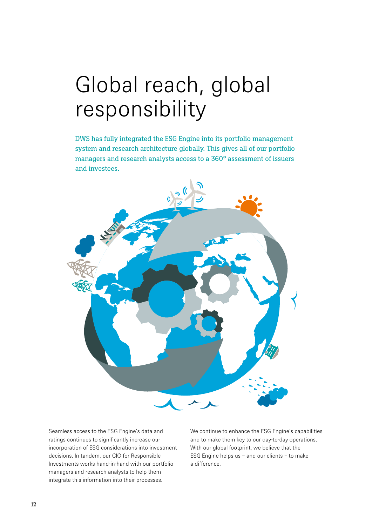# Global reach, global responsibility

DWS has fully integrated the ESG Engine into its portfolio management system and research architecture globally. This gives all of our portfolio managers and research analysts access to a 360° assessment of issuers and investees.



Seamless access to the ESG Engine's data and ratings continues to significantly increase our incorporation of ESG considerations into investment decisions. In tandem, our CIO for Responsible Investments works hand-in-hand with our portfolio managers and research analysts to help them integrate this information into their processes.

We continue to enhance the ESG Engine's capabilities and to make them key to our day-to-day operations. With our global footprint, we believe that the ESG Engine helps us – and our clients – to make a difference.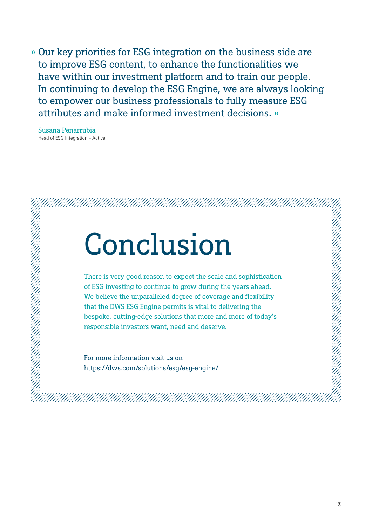» Our key priorities for ESG integration on the business side are to improve ESG content, to enhance the functionalities we have within our investment platform and to train our people. In continuing to develop the ESG Engine, we are always looking to empower our business professionals to fully measure ESG attributes and make informed investment decisions. «

Susana Peñarrubia Head of ESG Integration – Active

# Conclusion

There is very good reason to expect the scale and sophistication of ESG investing to continue to grow during the years ahead. We believe the unparalleled degree of coverage and flexibility that the DWS ESG Engine permits is vital to delivering the bespoke, cutting-edge solutions that more and more of today's responsible investors want, need and deserve.

For more information visit us on https://dws.com/solutions/esg/esg-engine/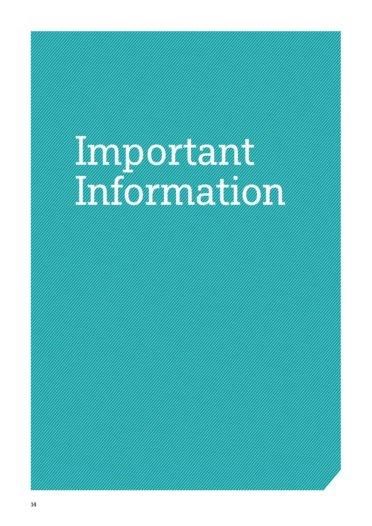# Important Company of the Company of the Company of the Company of the Company of the Company of the Company of Information of the Community of the Community of the Community of the Community of the Community of the Community of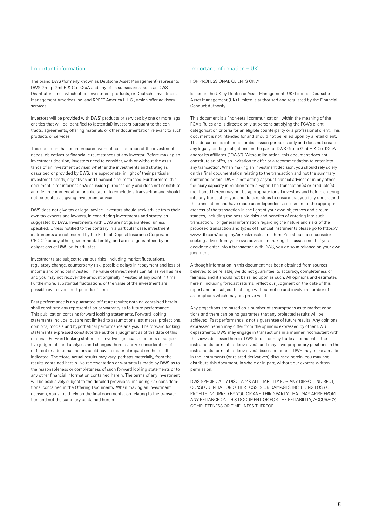## Important information

The brand DWS (formerly known as Deutsche Asset Management) represents DWS Group GmbH & Co. KGaA and any of its subsidiaries, such as DWS Distributors, Inc., which offers investment products, or Deutsche Investment Management Americas Inc. and RREEF America L.L.C., which offer advisory services.

Investors will be provided with DWS' products or services by one or more legal entities that will be identified to (potential) investors pursuant to the contracts, agreements, offering materials or other documentation relevant to such products or services.

This document has been prepared without consideration of the investment needs, objectives or financial circumstances of any investor. Before making an investment decision, investors need to consider, with or without the assistance of an investment adviser, whether the investments and strategies described or provided by DWS, are appropriate, in light of their particular investment needs, objectives and financial circumstances. Furthermore, this document is for information/discussion purposes only and does not constitute an offer, recommendation or solicitation to conclude a transaction and should not be treated as giving investment advice.

DWS does not give tax or legal advice. Investors should seek advice from their own tax experts and lawyers, in considering investments and strategies suggested by DWS. Investments with DWS are not guaranteed, unless specified. Unless notified to the contrary in a particular case, investment instruments are not insured by the Federal Deposit Insurance Corporation ("FDIC") or any other governmental entity, and are not guaranteed by or obligations of DWS or its affiliates.

Investments are subject to various risks, including market fluctuations, regulatory change, counterparty risk, possible delays in repayment and loss of income and principal invested. The value of investments can fall as well as rise and you may not recover the amount originally invested at any point in time. Furthermore, substantial fluctuations of the value of the investment are possible even over short periods of time.

Past performance is no guarantee of future results; nothing contained herein shall constitute any representation or warranty as to future performance. This publication contains forward looking statements. Forward looking statements include, but are not limited to assumptions, estimates, projections, opinions, models and hypothetical performance analysis. The forward looking statements expressed constitute the author's judgment as of the date of this material. Forward looking statements involve significant elements of subjective judgments and analyses and changes thereto and/or consideration of different or additional factors could have a material impact on the results indicated. Therefore, actual results may vary, perhaps materially, from the results contained herein. No representation or warranty is made by DWS as to the reasonableness or completeness of such forward looking statements or to any other financial information contained herein. The terms of any investment will be exclusively subject to the detailed provisions, including risk considerations, contained in the Offering Documents. When making an investment decision, you should rely on the final documentation relating to the transaction and not the summary contained herein.

#### Important information – UK

FOR PROFESSIONAL CLIENTS ONLY

Issued in the UK by Deutsche Asset Management (UK) Limited. Deutsche Asset Management (UK) Limited is authorised and regulated by the Financial Conduct Authority.

This document is a "non-retail communication" within the meaning of the FCA's Rules and is directed only at persons satisfying the FCA's client categorisation criteria for an eligible counterparty or a professional client. This document is not intended for and should not be relied upon by a retail client. This document is intended for discussion purposes only and does not create any legally binding obligations on the part of DWS Group GmbH & Co. KGaA and/or its affiliates ("DWS"). Without limitation, this document does not constitute an offer, an invitation to offer or a recommendation to enter into any transaction. When making an investment decision, you should rely solely on the final documentation relating to the transaction and not the summary contained herein. DWS is not acting as your financial adviser or in any other fiduciary capacity in relation to this Paper. The transaction(s) or products(s) mentioned herein may not be appropriate for all investors and before entering into any transaction you should take steps to ensure that you fully understand the transaction and have made an independent assessment of the appropriateness of the transaction in the light of your own objectives and circumstances, including the possible risks and benefits of entering into such transaction. For general information regarding the nature and risks of the proposed transaction and types of financial instruments please go to https:// www.db.com/company/en/risk-disclosures.htm. You should also consider seeking advice from your own advisers in making this assessment. If you decide to enter into a transaction with DWS, you do so in reliance on your own judgment.

Although information in this document has been obtained from sources believed to be reliable, we do not guarantee its accuracy, completeness or fairness, and it should not be relied upon as such. All opinions and estimates herein, including forecast returns, reflect our judgment on the date of this report and are subject to change without notice and involve a number of assumptions which may not prove valid.

Any projections are based on a number of assumptions as to market conditions and there can be no guarantee that any projected results will be achieved. Past performance is not a guarantee of future results. Any opinions expressed herein may differ from the opinions expressed by other DWS departments. DWS may engage in transactions in a manner inconsistent with the views discussed herein. DWS trades or may trade as principal in the instruments (or related derivatives), and may have proprietary positions in the instruments (or related derivatives) discussed herein. DWS may make a market in the instruments (or related derivatives) discussed herein. You may not distribute this document, in whole or in part, without our express written permission.

DWS SPECIFICALLY DISCLAIMS ALL LIABILITY FOR ANY DIRECT, INDIRECT, CONSEQUENTIAL OR OTHER LOSSES OR DAMAGES INCLUDING LOSS OF PROFITS INCURRED BY YOU OR ANY THIRD PARTY THAT MAY ARISE FROM ANY RELIANCE ON THIS DOCUMENT OR FOR THE RELIABILITY, ACCURACY, COMPLETENESS OR TIMELINESS THEREOF.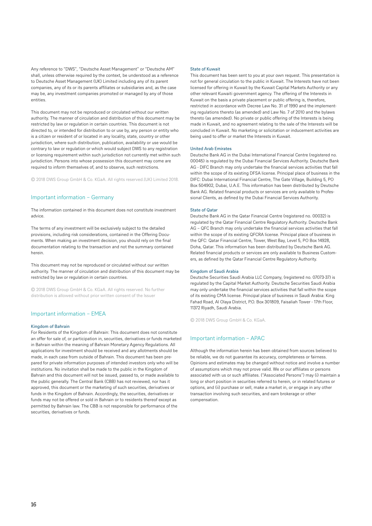Any reference to "DWS", "Deutsche Asset Management" or "Deutsche AM" shall, unless otherwise required by the context, be understood as a reference to Deutsche Asset Management (UK) Limited including any of its parent companies, any of its or its parents affiliates or subsidiaries and, as the case may be, any investment companies promoted or managed by any of those entities.

This document may not be reproduced or circulated without our written authority. The manner of circulation and distribution of this document may be restricted by law or regulation in certain countries. This document is not directed to, or intended for distribution to or use by, any person or entity who is a citizen or resident of or located in any locality, state, country or other jurisdiction, where such distribution, publication, availability or use would be contrary to law or regulation or which would subject DWS to any registration or licensing requirement within such jurisdiction not currently met within such jurisdiction. Persons into whose possession this document may come are required to inform themselves of, and to observe, such restrictions.

© 2018 DWS Group GmbH & Co. KGaA. All rights reserved.(UK) Limited 2018.

## Important information – Germany

The information contained in this document does not constitute investment advice.

The terms of any investment will be exclusively subject to the detailed provisions, including risk considerations, contained in the Offering Documents. When making an investment decision, you should rely on the final documentation relating to the transaction and not the summary contained herein.

This document may not be reproduced or circulated without our written authority. The manner of circulation and distribution of this document may be restricted by law or regulation in certain countries.

© 2018 DWS Group GmbH & Co. KGaA. All rights reserved. No further distribution is allowed without prior written consent of the Issuer

### Important information – EMEA

#### Kingdom of Bahrain

For Residents of the Kingdom of Bahrain: This document does not constitute an offer for sale of, or participation in, securities, derivatives or funds marketed in Bahrain within the meaning of Bahrain Monetary Agency Regulations. All applications for investment should be received and any allotments should be made, in each case from outside of Bahrain. This document has been prepared for private information purposes of intended investors only who will be institutions. No invitation shall be made to the public in the Kingdom of Bahrain and this document will not be issued, passed to, or made available to the public generally. The Central Bank (CBB) has not reviewed, nor has it approved, this document or the marketing of such securities, derivatives or funds in the Kingdom of Bahrain. Accordingly, the securities, derivatives or funds may not be offered or sold in Bahrain or to residents thereof except as permitted by Bahrain law. The CBB is not responsible for performance of the securities, derivatives or funds.

#### State of Kuwait

This document has been sent to you at your own request. This presentation is not for general circulation to the public in Kuwait. The Interests have not been licensed for offering in Kuwait by the Kuwait Capital Markets Authority or any other relevant Kuwaiti government agency. The offering of the Interests in Kuwait on the basis a private placement or public offering is, therefore, restricted in accordance with Decree Law No. 31 of 1990 and the implementing regulations thereto (as amended) and Law No. 7 of 2010 and the bylaws thereto (as amended). No private or public offering of the Interests is being made in Kuwait, and no agreement relating to the sale of the Interests will be concluded in Kuwait. No marketing or solicitation or inducement activities are being used to offer or market the Interests in Kuwait.

#### United Arab Emirates

Deutsche Bank AG in the Dubai International Financial Centre (registered no. 00045) is regulated by the Dubai Financial Services Authority. Deutsche Bank AG - DIFC Branch may only undertake the financial services activities that fall within the scope of its existing DFSA license. Principal place of business in the DIFC: Dubai International Financial Centre, The Gate Village, Building 5, PO Box 504902, Dubai, U.A.E. This information has been distributed by Deutsche Bank AG. Related financial products or services are only available to Professional Clients, as defined by the Dubai Financial Services Authority.

## State of Qatar

Deutsche Bank AG in the Qatar Financial Centre (registered no. 00032) is regulated by the Qatar Financial Centre Regulatory Authority. Deutsche Bank AG – QFC Branch may only undertake the financial services activities that fall within the scope of its existing QFCRA license. Principal place of business in the QFC: Qatar Financial Centre, Tower, West Bay, Level 5, PO Box 14928, Doha, Qatar. This information has been distributed by Deutsche Bank AG. Related financial products or services are only available to Business Customers, as defined by the Qatar Financial Centre Regulatory Authority.

#### Kingdom of Saudi Arabia

Deutsche Securities Saudi Arabia LLC Company, (registered no. 07073-37) is regulated by the Capital Market Authority. Deutsche Securities Saudi Arabia may only undertake the financial services activities that fall within the scope of its existing CMA license. Principal place of business in Saudi Arabia: King Fahad Road, Al Olaya District, P.O. Box 301809, Faisaliah Tower - 17th Floor, 11372 Riyadh, Saudi Arabia.

© 2018 DWS Group GmbH & Co. KGaA.

## Important information – APAC

Although the information herein has been obtained from sources believed to be reliable, we do not guarantee its accuracy, completeness or fairness. Opinions and estimates may be changed without notice and involve a number of assumptions which may not prove valid. We or our affiliates or persons associated with us or such affiliates. ("Associated Persons") may (i) maintain a long or short position in securities referred to herein, or in related futures or options, and (ii) purchase or sell, make a market in, or engage in any other transaction involving such securities, and earn brokerage or other compensation.